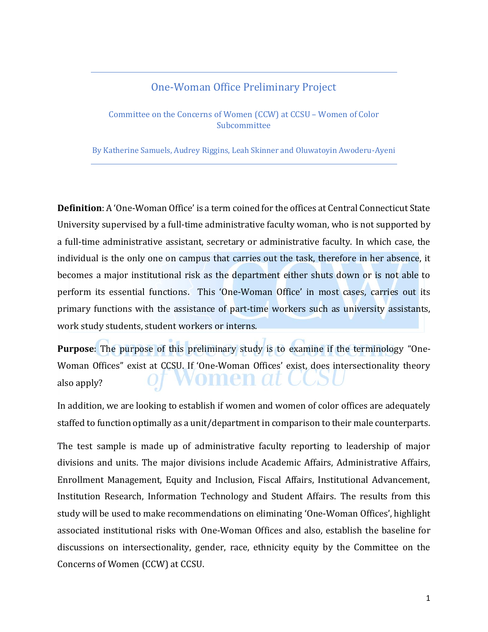## One-Woman Office Preliminary Project

Committee on the Concerns of Women (CCW) at CCSU – Women of Color Subcommittee

By Katherine Samuels, Audrey Riggins, Leah Skinner and Oluwatoyin Awoderu-Ayeni

**Definition**: A 'One-Woman Office' is a term coined for the offices at Central Connecticut State University supervised by a full-time administrative faculty woman, who is not supported by a full-time administrative assistant, secretary or administrative faculty. In which case, the individual is the only one on campus that carries out the task, therefore in her absence, it becomes a major institutional risk as the department either shuts down or is not able to perform its essential functions. This 'One-Woman Office' in most cases, carries out its primary functions with the assistance of part-time workers such as university assistants, work study students, student workers or interns.

**Purpose**: The purpose of this preliminary study is to examine if the terminology "One-Woman Offices" exist at CCSU. If 'One-Woman Offices' exist, does intersectionality theory vomen at CCS also apply?

In addition, we are looking to establish if women and women of color offices are adequately staffed to function optimally as a unit/department in comparison to their male counterparts.

The test sample is made up of administrative faculty reporting to leadership of major divisions and units. The major divisions include Academic Affairs, Administrative Affairs, Enrollment Management, Equity and Inclusion, Fiscal Affairs, Institutional Advancement, Institution Research, Information Technology and Student Affairs. The results from this study will be used to make recommendations on eliminating 'One-Woman Offices', highlight associated institutional risks with One-Woman Offices and also, establish the baseline for discussions on intersectionality, gender, race, ethnicity equity by the Committee on the Concerns of Women (CCW) at CCSU.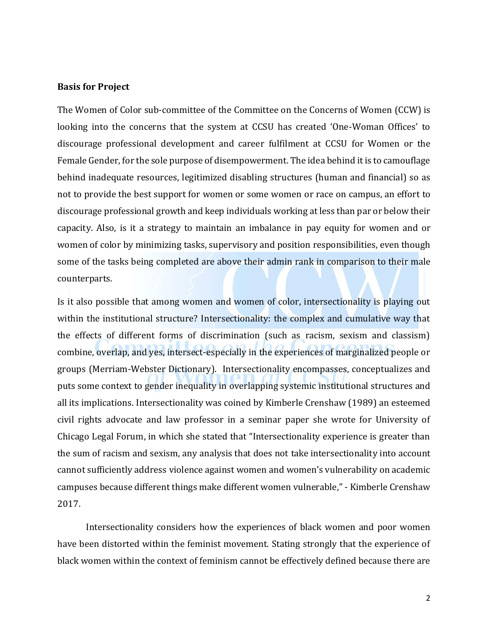### **Basis for Project**

The Women of Color sub-committee of the Committee on the Concerns of Women (CCW) is looking into the concerns that the system at CCSU has created 'One-Woman Offices' to discourage professional development and career fulfilment at CCSU for Women or the Female Gender, for the sole purpose of disempowerment. The idea behind it is to camouflage behind inadequate resources, legitimized disabling structures (human and financial) so as not to provide the best support for women or some women or race on campus, an effort to discourage professional growth and keep individuals working at less than par or below their capacity. Also, is it a strategy to maintain an imbalance in pay equity for women and or women of color by minimizing tasks, supervisory and position responsibilities, even though some of the tasks being completed are above their admin rank in comparison to their male counterparts.

Is it also possible that among women and women of color, intersectionality is playing out within the institutional structure? Intersectionality: the complex and cumulative way that the effects of different forms of discrimination (such as racism, sexism and classism) combine, overlap, and yes, intersect-especially in the experiences of marginalized people or groups (Merriam-Webster Dictionary). Intersectionality encompasses, conceptualizes and puts some context to gender inequality in overlapping systemic institutional structures and all its implications. Intersectionality was coined by Kimberle Crenshaw (1989) an esteemed civil rights advocate and law professor in a seminar paper she wrote for University of Chicago Legal Forum, in which she stated that "Intersectionality experience is greater than the sum of racism and sexism, any analysis that does not take intersectionality into account cannot sufficiently address violence against women and women's vulnerability on academic campuses because different things make different women vulnerable," - Kimberle Crenshaw 2017.

Intersectionality considers how the experiences of black women and poor women have been distorted within the feminist movement. Stating strongly that the experience of black women within the context of feminism cannot be effectively defined because there are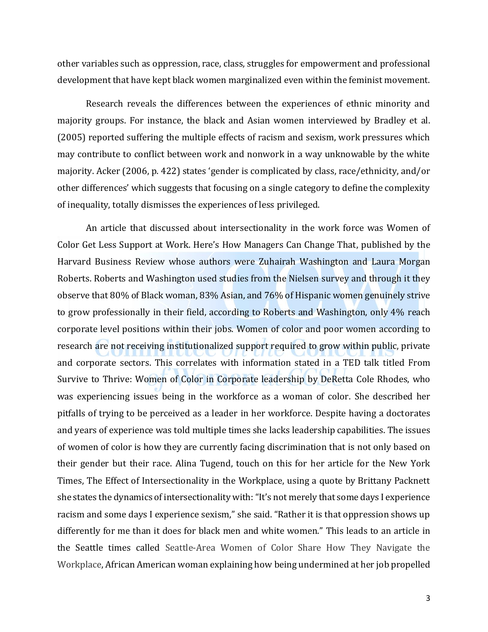other variables such as oppression, race, class, struggles for empowerment and professional development that have kept black women marginalized even within the feminist movement.

Research reveals the differences between the experiences of ethnic minority and majority groups. For instance, the black and Asian women interviewed by Bradley et al. (2005) reported suffering the multiple effects of racism and sexism, work pressures which may contribute to conflict between work and nonwork in a way unknowable by the white majority. Acker (2006, p. 422) states 'gender is complicated by class, race/ethnicity, and/or other differences' which suggests that focusing on a single category to define the complexity of inequality, totally dismisses the experiences of less privileged.

An article that discussed about intersectionality in the work force was Women of Color Get Less Support at Work. Here's How Managers Can Change That, published by the Harvard Business Review whose authors were Zuhairah Washington and Laura Morgan Roberts. Roberts and Washington used studies from the Nielsen survey and through it they observe that 80% of Black woman, 83% Asian, and 76% of Hispanic women genuinely strive to grow professionally in their field, according to Roberts and Washington, only 4% reach corporate level positions within their jobs. Women of color and poor women according to research are not receiving institutionalized support required to grow within public, private and corporate sectors. This correlates with information stated in a TED talk titled From Survive to Thrive: Women of Color in Corporate leadership by DeRetta Cole Rhodes, who was experiencing issues being in the workforce as a woman of color. She described her pitfalls of trying to be perceived as a leader in her workforce. Despite having a doctorates and years of experience was told multiple times she lacks leadership capabilities. The issues of women of color is how they are currently facing discrimination that is not only based on their gender but their race. Alina Tugend, touch on this for her article for the New York Times, The Effect of Intersectionality in the Workplace, using a quote by Brittany Packnett she states the dynamics of intersectionality with: "It's not merely that some days I experience racism and some days I experience sexism," she said. "Rather it is that oppression shows up differently for me than it does for black men and white women." This leads to an article in the Seattle times called Seattle-Area Women of Color Share How They Navigate the Workplace, African American woman explaining how being undermined at her job propelled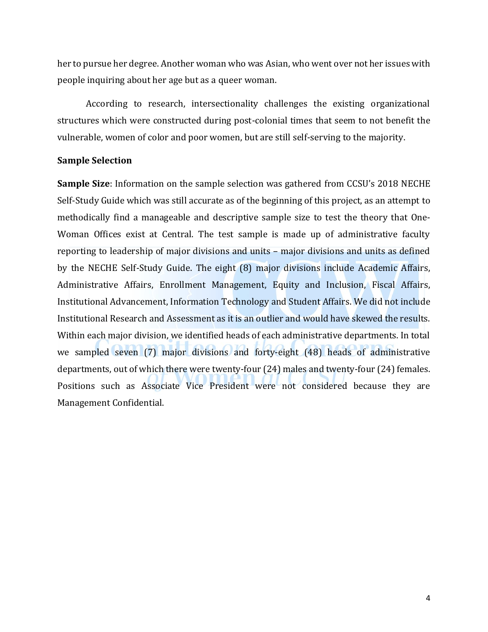her to pursue her degree. Another woman who was Asian, who went over not her issues with people inquiring about her age but as a queer woman.

According to research, intersectionality challenges the existing organizational structures which were constructed during post-colonial times that seem to not benefit the vulnerable, women of color and poor women, but are still self-serving to the majority.

### **Sample Selection**

**Sample Size**: Information on the sample selection was gathered from CCSU's 2018 NECHE Self-Study Guide which was still accurate as of the beginning of this project, as an attempt to methodically find a manageable and descriptive sample size to test the theory that One-Woman Offices exist at Central. The test sample is made up of administrative faculty reporting to leadership of major divisions and units – major divisions and units as defined by the NECHE Self-Study Guide. The eight (8) major divisions include Academic Affairs, Administrative Affairs, Enrollment Management, Equity and Inclusion, Fiscal Affairs, Institutional Advancement, Information Technology and Student Affairs. We did not include Institutional Research and Assessment as it is an outlier and would have skewed the results. Within each major division, we identified heads of each administrative departments. In total we sampled seven (7) major divisions and forty-eight (48) heads of administrative departments, out of which there were twenty-four (24) males and twenty-four (24) females. Positions such as Associate Vice President were not considered because they are Management Confidential.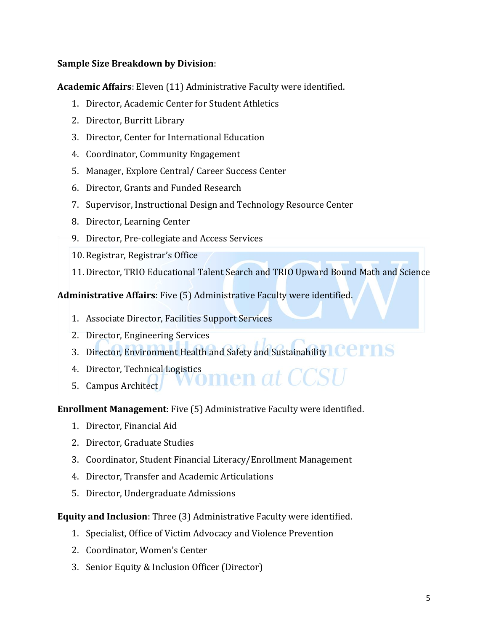### **Sample Size Breakdown by Division**:

**Academic Affairs**: Eleven (11) Administrative Faculty were identified.

- 1. Director, Academic Center for Student Athletics
- 2. Director, Burritt Library
- 3. Director, Center for International Education
- 4. Coordinator, Community Engagement
- 5. Manager, Explore Central/ Career Success Center
- 6. Director, Grants and Funded Research
- 7. Supervisor, Instructional Design and Technology Resource Center
- 8. Director, Learning Center
- 9. Director, Pre-collegiate and Access Services
- 10. Registrar, Registrar's Office
- 11. Director, TRIO Educational Talent Search and TRIO Upward Bound Math and Science

**Administrative Affairs**: Five (5) Administrative Faculty were identified.

- 1. Associate Director, Facilities Support Services
- 2. Director, Engineering Services
- 3. Director, Environment Health and Safety and Sustainability COMS
- 4. Director, Technical Logistics<br>E. Compus Architect VVOMen at CCSI
- 5. Campus Architect

**Enrollment Management**: Five (5) Administrative Faculty were identified.

- 1. Director, Financial Aid
- 2. Director, Graduate Studies
- 3. Coordinator, Student Financial Literacy/Enrollment Management
- 4. Director, Transfer and Academic Articulations
- 5. Director, Undergraduate Admissions

**Equity and Inclusion**: Three (3) Administrative Faculty were identified.

- 1. Specialist, Office of Victim Advocacy and Violence Prevention
- 2. Coordinator, Women's Center
- 3. Senior Equity & Inclusion Officer (Director)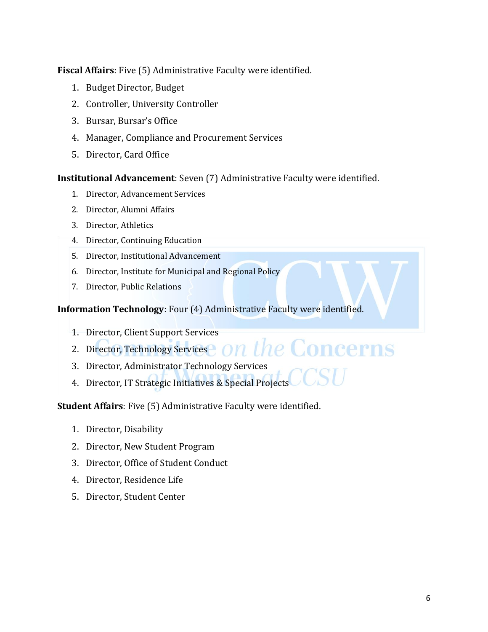**Fiscal Affairs**: Five (5) Administrative Faculty were identified.

- 1. Budget Director, Budget
- 2. Controller, University Controller
- 3. Bursar, Bursar's Office
- 4. Manager, Compliance and Procurement Services
- 5. Director, Card Office

**Institutional Advancement**: Seven (7) Administrative Faculty were identified.

- 1. Director, Advancement Services
- 2. Director, Alumni Affairs
- 3. Director, Athletics
- 4. Director, Continuing Education
- 5. Director, Institutional Advancement
- 6. Director, Institute for Municipal and Regional Policy
- 7. Director, Public Relations

**Information Technology**: Four (4) Administrative Faculty were identified.

- 1. Director, Client Support Services
- 2. Director, Technology Services  $\bf{O}n$  the Concerns
- 3. Director, Administrator Technology Services
- 4. Director, IT Strategic Initiatives & Special Projects

**Student Affairs**: Five (5) Administrative Faculty were identified.

- 1. Director, Disability
- 2. Director, New Student Program
- 3. Director, Office of Student Conduct
- 4. Director, Residence Life
- 5. Director, Student Center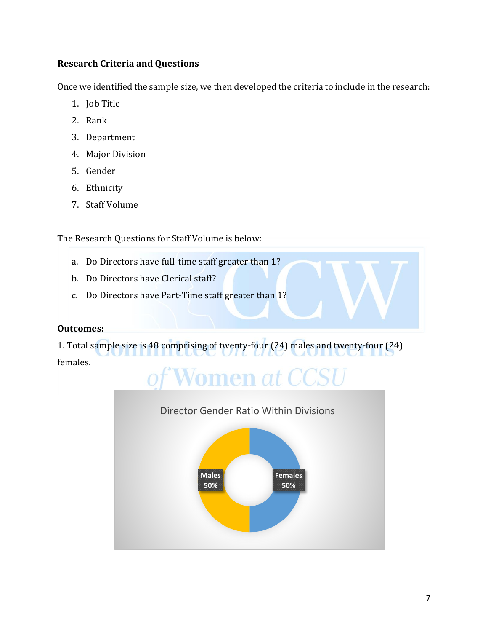## **Research Criteria and Questions**

Once we identified the sample size, we then developed the criteria to include in the research:

- 1. Job Title
- 2. Rank
- 3. Department
- 4. Major Division
- 5. Gender
- 6. Ethnicity
- 7. Staff Volume

The Research Questions for Staff Volume is below:

- a. Do Directors have full-time staff greater than 1?
- b. Do Directors have Clerical staff?
- c. Do Directors have Part-Time staff greater than 1?

## **Outcomes:**

1. Total sample size is 48 comprising of twenty-four (24) males and twenty-four (24) females.

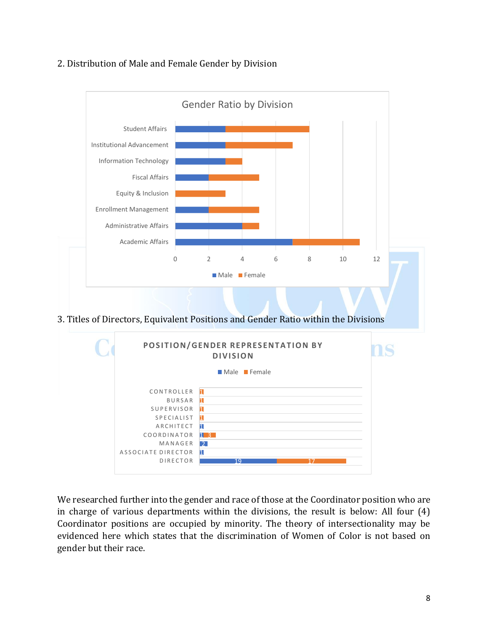### 2. Distribution of Male and Female Gender by Division



We researched further into the gender and race of those at the Coordinator position who are in charge of various departments within the divisions, the result is below: All four (4) Coordinator positions are occupied by minority. The theory of intersectionality may be evidenced here which states that the discrimination of Women of Color is not based on gender but their race.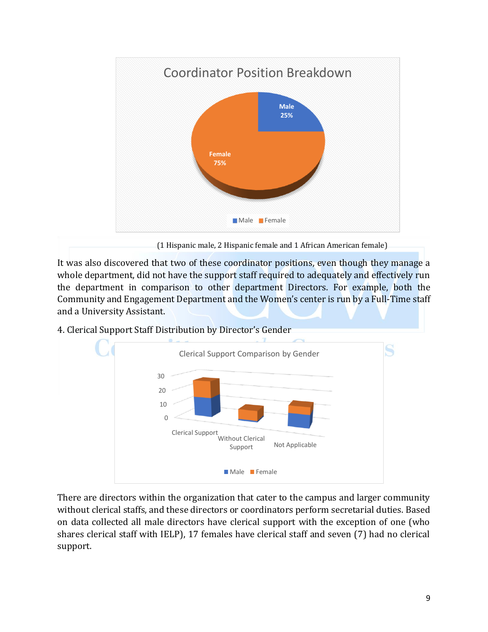

(1 Hispanic male, 2 Hispanic female and 1 African American female)

It was also discovered that two of these coordinator positions, even though they manage a whole department, did not have the support staff required to adequately and effectively run the department in comparison to other department Directors. For example, both the Community and Engagement Department and the Women's center is run by a Full-Time staff and a University Assistant.

4. Clerical Support Staff Distribution by Director's Gender



There are directors within the organization that cater to the campus and larger community without clerical staffs, and these directors or coordinators perform secretarial duties. Based on data collected all male directors have clerical support with the exception of one (who shares clerical staff with IELP), 17 females have clerical staff and seven (7) had no clerical support.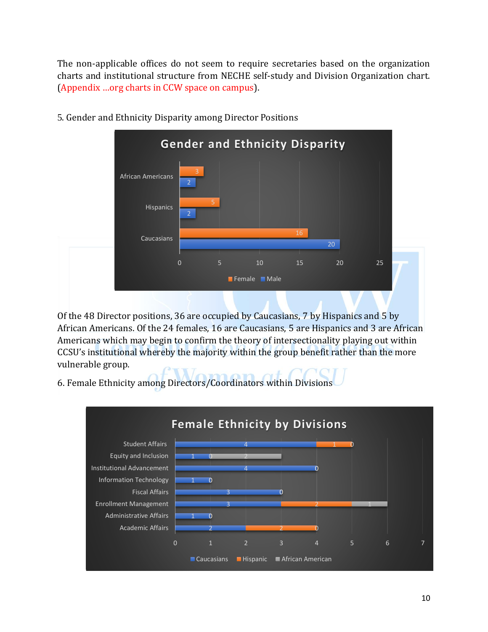The non-applicable offices do not seem to require secretaries based on the organization charts and institutional structure from NECHE self-study and Division Organization chart. (Appendix …org charts in CCW space on campus).



5. Gender and Ethnicity Disparity among Director Positions

Of the 48 Director positions, 36 are occupied by Caucasians, 7 by Hispanics and 5 by African Americans. Of the 24 females, 16 are Caucasians, 5 are Hispanics and 3 are African Americans which may begin to confirm the theory of intersectionality playing out within CCSU's institutional whereby the majority within the group benefit rather than the more vulnerable group.

6. Female Ethnicity among Directors/Coordinators within Divisions

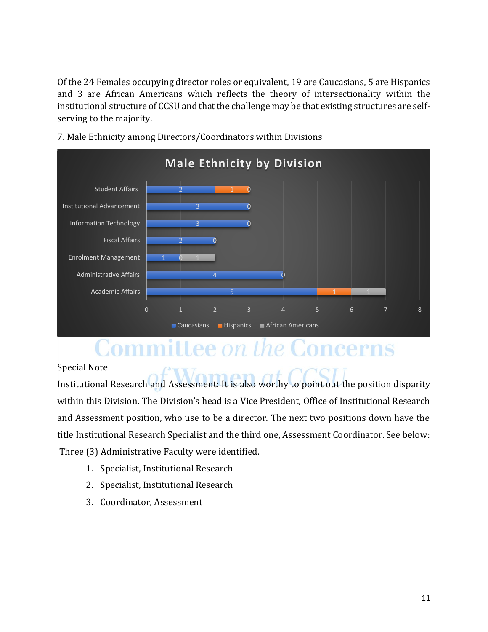Of the 24 Females occupying director roles or equivalent, 19 are Caucasians, 5 are Hispanics and 3 are African Americans which reflects the theory of intersectionality within the institutional structure of CCSU and that the challenge may be that existing structures are selfserving to the majority.



7. Male Ethnicity among Directors/Coordinators within Divisions

## Committee *on the* Concerns

Special Note

Institutional Research and Assessment: It is also worthy to point out the position disparity within this Division. The Division's head is a Vice President, Office of Institutional Research and Assessment position, who use to be a director. The next two positions down have the title Institutional Research Specialist and the third one, Assessment Coordinator. See below: Three (3) Administrative Faculty were identified.

- 1. Specialist, Institutional Research
- 2. Specialist, Institutional Research
- 3. Coordinator, Assessment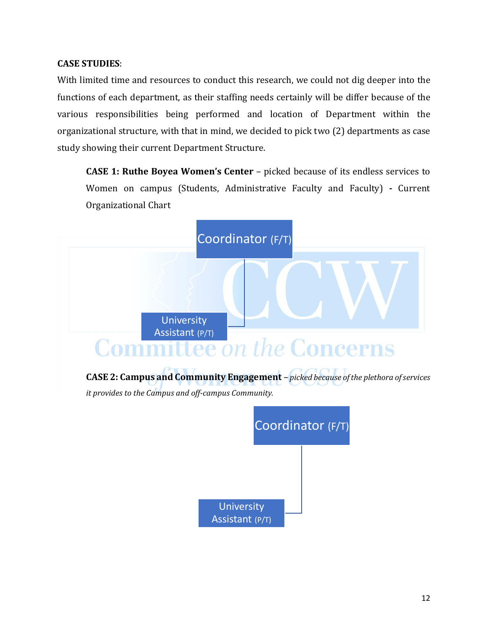### **CASE STUDIES**:

With limited time and resources to conduct this research, we could not dig deeper into the functions of each department, as their staffing needs certainly will be differ because of the various responsibilities being performed and location of Department within the organizational structure, with that in mind, we decided to pick two (2) departments as case study showing their current Department Structure.

**CASE 1: Ruthe Boyea Women's Center** – picked because of its endless services to Women on campus (Students, Administrative Faculty and Faculty) **-** Current Organizational Chart

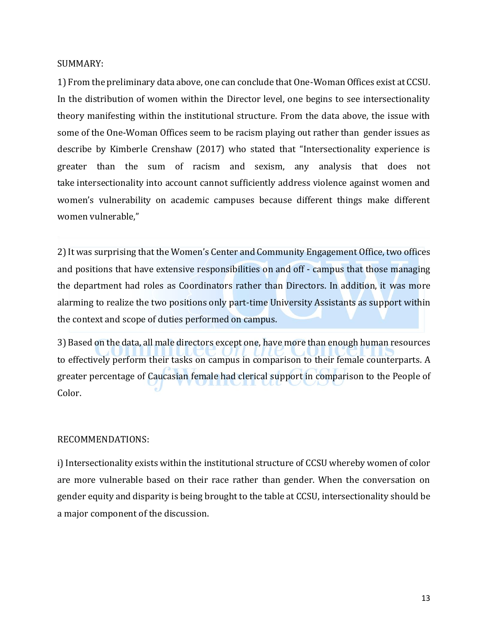SUMMARY:

1) From the preliminary data above, one can conclude that One-Woman Offices exist at CCSU. In the distribution of women within the Director level, one begins to see intersectionality theory manifesting within the institutional structure. From the data above, the issue with some of the One-Woman Offices seem to be racism playing out rather than gender issues as describe by Kimberle Crenshaw (2017) who stated that "Intersectionality experience is greater than the sum of racism and sexism, any analysis that does not take intersectionality into account cannot sufficiently address violence against women and women's vulnerability on academic campuses because different things make different women vulnerable,"

2) It was surprising that the Women's Center and Community Engagement Office, two offices and positions that have extensive responsibilities on and off - campus that those managing the department had roles as Coordinators rather than Directors. In addition, it was more alarming to realize the two positions only part-time University Assistants as support within the context and scope of duties performed on campus.

3) Based on the data, all male directors except one, have more than enough human resources to effectively perform their tasks on campus in comparison to their female counterparts. A greater percentage of Caucasian female had clerical support in comparison to the People of Color.

### RECOMMENDATIONS:

i) Intersectionality exists within the institutional structure of CCSU whereby women of color are more vulnerable based on their race rather than gender. When the conversation on gender equity and disparity is being brought to the table at CCSU, intersectionality should be a major component of the discussion.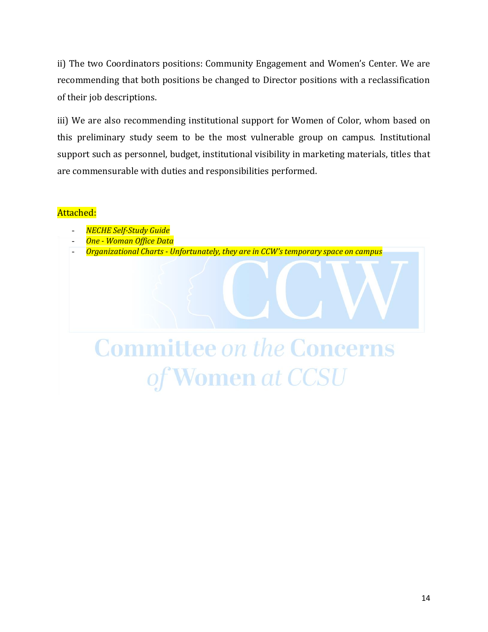ii) The two Coordinators positions: Community Engagement and Women's Center. We are recommending that both positions be changed to Director positions with a reclassification of their job descriptions.

iii) We are also recommending institutional support for Women of Color, whom based on this preliminary study seem to be the most vulnerable group on campus. Institutional support such as personnel, budget, institutional visibility in marketing materials, titles that are commensurable with duties and responsibilities performed.

### Attached:

- *NECHE Self-Study Guide*
- *One - Woman Office Data*
- *Organizational Charts - Unfortunately, they are in CCW's temporary space on campus*

# **Committee on the Concerns** of Women at CCSU